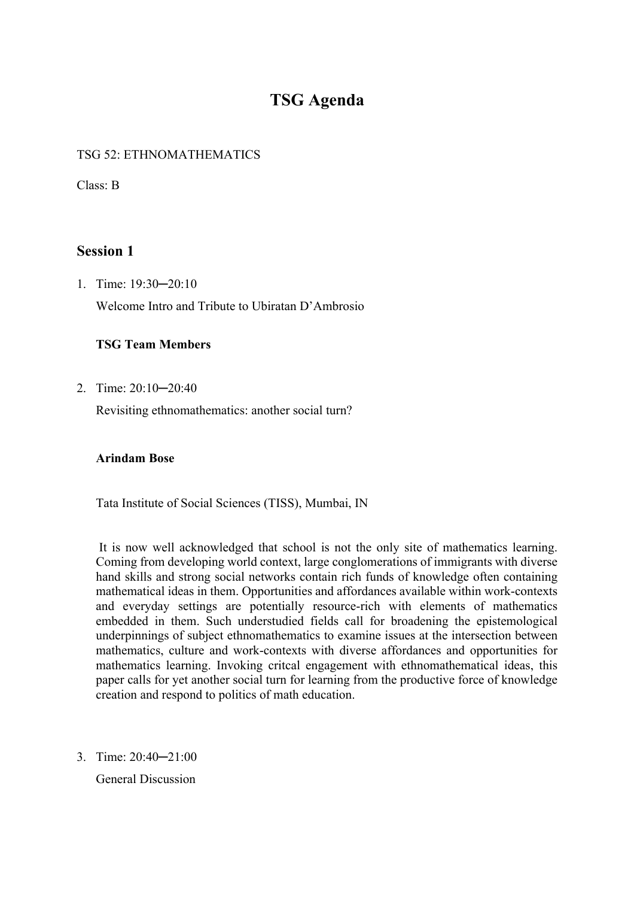# **TSG Agenda**

### TSG 52: ETHNOMATHEMATICS

Class: B

# **Session 1**

1. Time: 19:30─20:10 Welcome Intro and Tribute to Ubiratan D'Ambrosio

### **TSG Team Members**

2. Time: 20:10─20:40

Revisiting ethnomathematics: another social turn?

#### **Arindam Bose**

Tata Institute of Social Sciences (TISS), Mumbai, IN

It is now well acknowledged that school is not the only site of mathematics learning. Coming from developing world context, large conglomerations of immigrants with diverse hand skills and strong social networks contain rich funds of knowledge often containing mathematical ideas in them. Opportunities and affordances available within work-contexts and everyday settings are potentially resource-rich with elements of mathematics embedded in them. Such understudied fields call for broadening the epistemological underpinnings of subject ethnomathematics to examine issues at the intersection between mathematics, culture and work-contexts with diverse affordances and opportunities for mathematics learning. Invoking critcal engagement with ethnomathematical ideas, this paper calls for yet another social turn for learning from the productive force of knowledge creation and respond to politics of math education.

3. Time: 20:40─21:00

General Discussion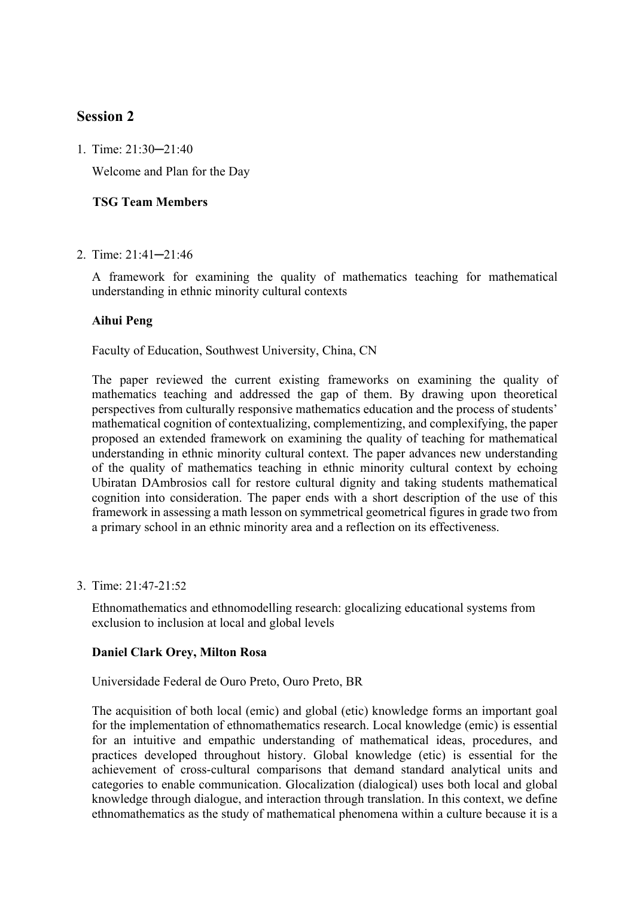# **Session 2**

1. Time: 21:30─21:40

Welcome and Plan for the Day

### **TSG Team Members**

2. Time: 21:41─21:46

A framework for examining the quality of mathematics teaching for mathematical understanding in ethnic minority cultural contexts

#### **Aihui Peng**

Faculty of Education, Southwest University, China, CN

The paper reviewed the current existing frameworks on examining the quality of mathematics teaching and addressed the gap of them. By drawing upon theoretical perspectives from culturally responsive mathematics education and the process of students' mathematical cognition of contextualizing, complementizing, and complexifying, the paper proposed an extended framework on examining the quality of teaching for mathematical understanding in ethnic minority cultural context. The paper advances new understanding of the quality of mathematics teaching in ethnic minority cultural context by echoing Ubiratan DAmbrosios call for restore cultural dignity and taking students mathematical cognition into consideration. The paper ends with a short description of the use of this framework in assessing a math lesson on symmetrical geometrical figures in grade two from a primary school in an ethnic minority area and a reflection on its effectiveness.

3. Time: 21:47-21:52

Ethnomathematics and ethnomodelling research: glocalizing educational systems from exclusion to inclusion at local and global levels

#### **Daniel Clark Orey, Milton Rosa**

#### Universidade Federal de Ouro Preto, Ouro Preto, BR

The acquisition of both local (emic) and global (etic) knowledge forms an important goal for the implementation of ethnomathematics research. Local knowledge (emic) is essential for an intuitive and empathic understanding of mathematical ideas, procedures, and practices developed throughout history. Global knowledge (etic) is essential for the achievement of cross-cultural comparisons that demand standard analytical units and categories to enable communication. Glocalization (dialogical) uses both local and global knowledge through dialogue, and interaction through translation. In this context, we define ethnomathematics as the study of mathematical phenomena within a culture because it is a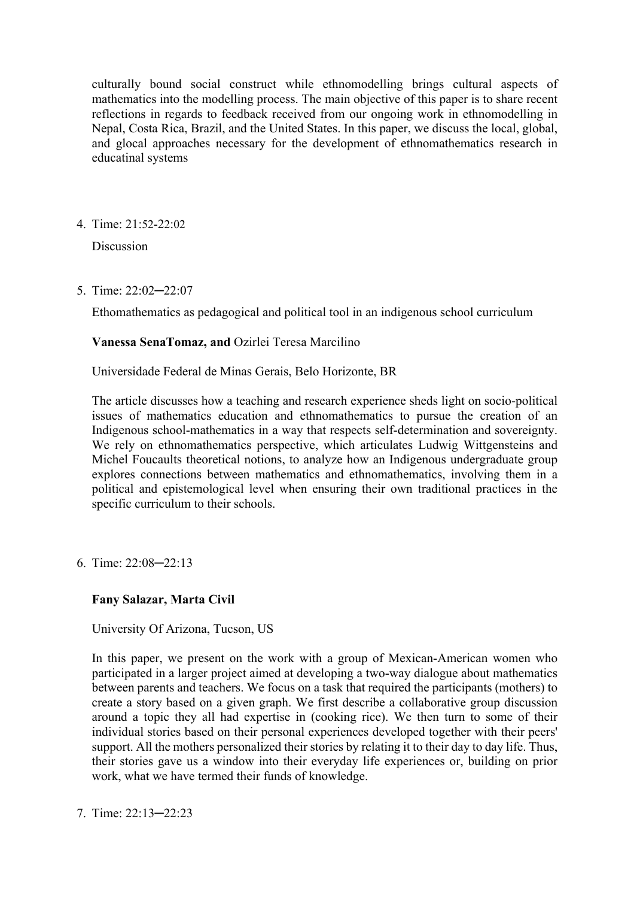culturally bound social construct while ethnomodelling brings cultural aspects of mathematics into the modelling process. The main objective of this paper is to share recent reflections in regards to feedback received from our ongoing work in ethnomodelling in Nepal, Costa Rica, Brazil, and the United States. In this paper, we discuss the local, global, and glocal approaches necessary for the development of ethnomathematics research in educatinal systems

4. Time: 21:52-22:02

Discussion

5. Time: 22:02─22:07

Ethomathematics as pedagogical and political tool in an indigenous school curriculum

# **Vanessa SenaTomaz, and** Ozirlei Teresa Marcilino

Universidade Federal de Minas Gerais, Belo Horizonte, BR

The article discusses how a teaching and research experience sheds light on socio-political issues of mathematics education and ethnomathematics to pursue the creation of an Indigenous school-mathematics in a way that respects self-determination and sovereignty. We rely on ethnomathematics perspective, which articulates Ludwig Wittgensteins and Michel Foucaults theoretical notions, to analyze how an Indigenous undergraduate group explores connections between mathematics and ethnomathematics, involving them in a political and epistemological level when ensuring their own traditional practices in the specific curriculum to their schools.

6. Time: 22:08─22:13

# **Fany Salazar, Marta Civil**

# University Of Arizona, Tucson, US

In this paper, we present on the work with a group of Mexican-American women who participated in a larger project aimed at developing a two-way dialogue about mathematics between parents and teachers. We focus on a task that required the participants (mothers) to create a story based on a given graph. We first describe a collaborative group discussion around a topic they all had expertise in (cooking rice). We then turn to some of their individual stories based on their personal experiences developed together with their peers' support. All the mothers personalized their stories by relating it to their day to day life. Thus, their stories gave us a window into their everyday life experiences or, building on prior work, what we have termed their funds of knowledge.

7. Time: 22:13─22:23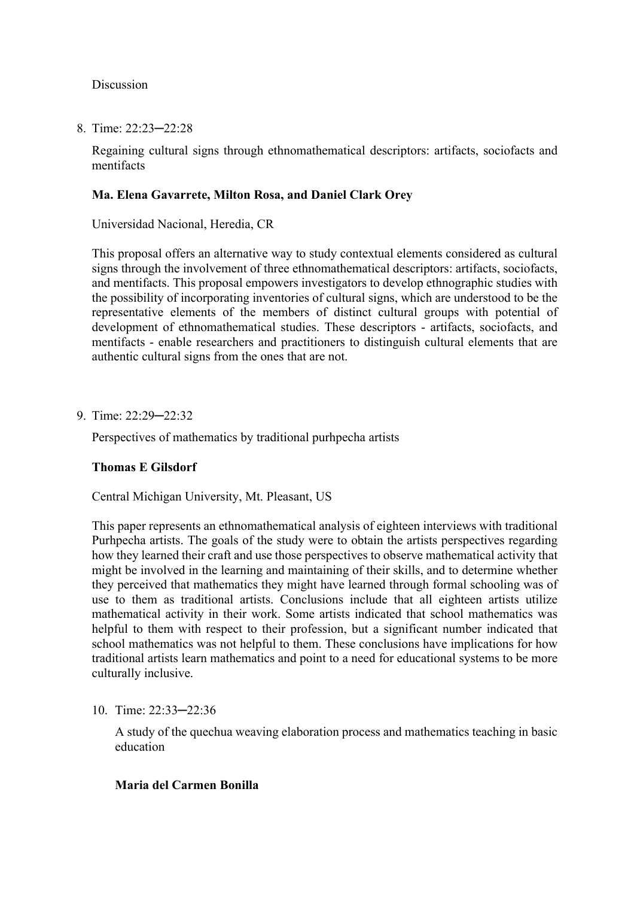Discussion

8. Time: 22:23─22:28

Regaining cultural signs through ethnomathematical descriptors: artifacts, sociofacts and mentifacts

#### **Ma. Elena Gavarrete, Milton Rosa, and Daniel Clark Orey**

Universidad Nacional, Heredia, CR

This proposal offers an alternative way to study contextual elements considered as cultural signs through the involvement of three ethnomathematical descriptors: artifacts, sociofacts, and mentifacts. This proposal empowers investigators to develop ethnographic studies with the possibility of incorporating inventories of cultural signs, which are understood to be the representative elements of the members of distinct cultural groups with potential of development of ethnomathematical studies. These descriptors - artifacts, sociofacts, and mentifacts - enable researchers and practitioners to distinguish cultural elements that are authentic cultural signs from the ones that are not.

9. Time: 22:29─22:32

Perspectives of mathematics by traditional purhpecha artists

#### **Thomas E Gilsdorf**

Central Michigan University, Mt. Pleasant, US

This paper represents an ethnomathematical analysis of eighteen interviews with traditional Purhpecha artists. The goals of the study were to obtain the artists perspectives regarding how they learned their craft and use those perspectives to observe mathematical activity that might be involved in the learning and maintaining of their skills, and to determine whether they perceived that mathematics they might have learned through formal schooling was of use to them as traditional artists. Conclusions include that all eighteen artists utilize mathematical activity in their work. Some artists indicated that school mathematics was helpful to them with respect to their profession, but a significant number indicated that school mathematics was not helpful to them. These conclusions have implications for how traditional artists learn mathematics and point to a need for educational systems to be more culturally inclusive.

10. Time: 22:33─22:36

A study of the quechua weaving elaboration process and mathematics teaching in basic education

#### **Maria del Carmen Bonilla**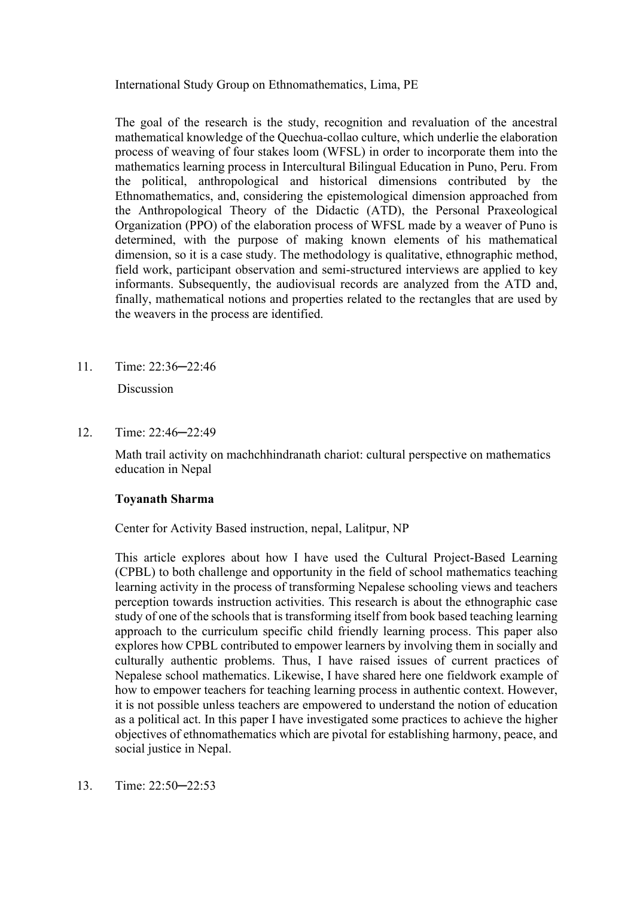International Study Group on Ethnomathematics, Lima, PE

The goal of the research is the study, recognition and revaluation of the ancestral mathematical knowledge of the Quechua-collao culture, which underlie the elaboration process of weaving of four stakes loom (WFSL) in order to incorporate them into the mathematics learning process in Intercultural Bilingual Education in Puno, Peru. From the political, anthropological and historical dimensions contributed by the Ethnomathematics, and, considering the epistemological dimension approached from the Anthropological Theory of the Didactic (ATD), the Personal Praxeological Organization (PPO) of the elaboration process of WFSL made by a weaver of Puno is determined, with the purpose of making known elements of his mathematical dimension, so it is a case study. The methodology is qualitative, ethnographic method, field work, participant observation and semi-structured interviews are applied to key informants. Subsequently, the audiovisual records are analyzed from the ATD and, finally, mathematical notions and properties related to the rectangles that are used by the weavers in the process are identified.

11. Time: 22:36─22:46

**Discussion** 

12. Time: 22:46─22:49

Math trail activity on machchhindranath chariot: cultural perspective on mathematics education in Nepal

# **Toyanath Sharma**

Center for Activity Based instruction, nepal, Lalitpur, NP

This article explores about how I have used the Cultural Project-Based Learning (CPBL) to both challenge and opportunity in the field of school mathematics teaching learning activity in the process of transforming Nepalese schooling views and teachers perception towards instruction activities. This research is about the ethnographic case study of one of the schools that is transforming itself from book based teaching learning approach to the curriculum specific child friendly learning process. This paper also explores how CPBL contributed to empower learners by involving them in socially and culturally authentic problems. Thus, I have raised issues of current practices of Nepalese school mathematics. Likewise, I have shared here one fieldwork example of how to empower teachers for teaching learning process in authentic context. However, it is not possible unless teachers are empowered to understand the notion of education as a political act. In this paper I have investigated some practices to achieve the higher objectives of ethnomathematics which are pivotal for establishing harmony, peace, and social justice in Nepal.

13. Time: 22:50─22:53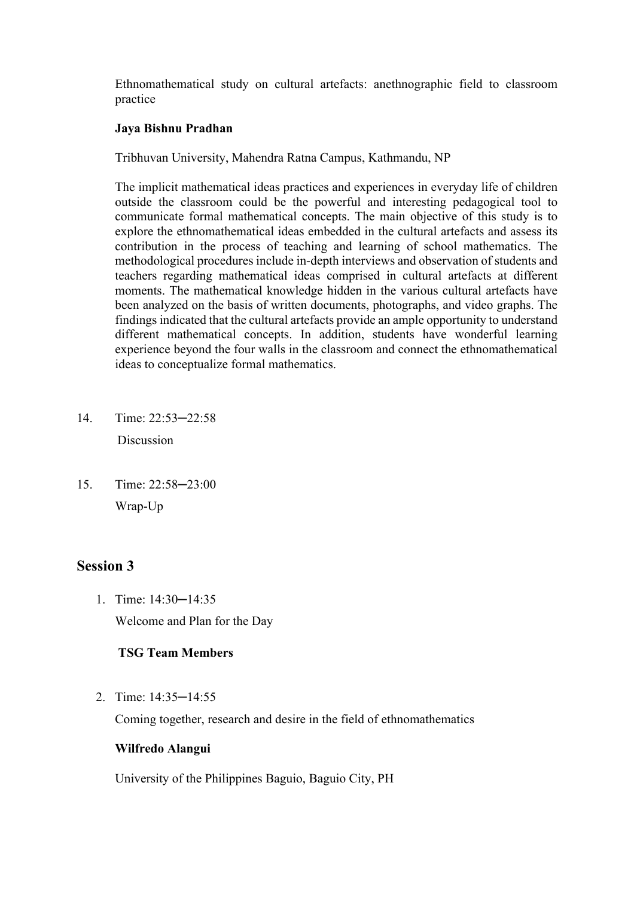Ethnomathematical study on cultural artefacts: anethnographic field to classroom practice

# **Jaya Bishnu Pradhan**

Tribhuvan University, Mahendra Ratna Campus, Kathmandu, NP

The implicit mathematical ideas practices and experiences in everyday life of children outside the classroom could be the powerful and interesting pedagogical tool to communicate formal mathematical concepts. The main objective of this study is to explore the ethnomathematical ideas embedded in the cultural artefacts and assess its contribution in the process of teaching and learning of school mathematics. The methodological procedures include in-depth interviews and observation of students and teachers regarding mathematical ideas comprised in cultural artefacts at different moments. The mathematical knowledge hidden in the various cultural artefacts have been analyzed on the basis of written documents, photographs, and video graphs. The findings indicated that the cultural artefacts provide an ample opportunity to understand different mathematical concepts. In addition, students have wonderful learning experience beyond the four walls in the classroom and connect the ethnomathematical ideas to conceptualize formal mathematics.

- 14. Time: 22:53─22:58 Discussion
- 15. Time: 22:58─23:00 Wrap-Up

# **Session 3**

1. Time: 14:30─14:35 Welcome and Plan for the Day

# **TSG Team Members**

2. Time: 14:35─14:55

Coming together, research and desire in the field of ethnomathematics

# **Wilfredo Alangui**

University of the Philippines Baguio, Baguio City, PH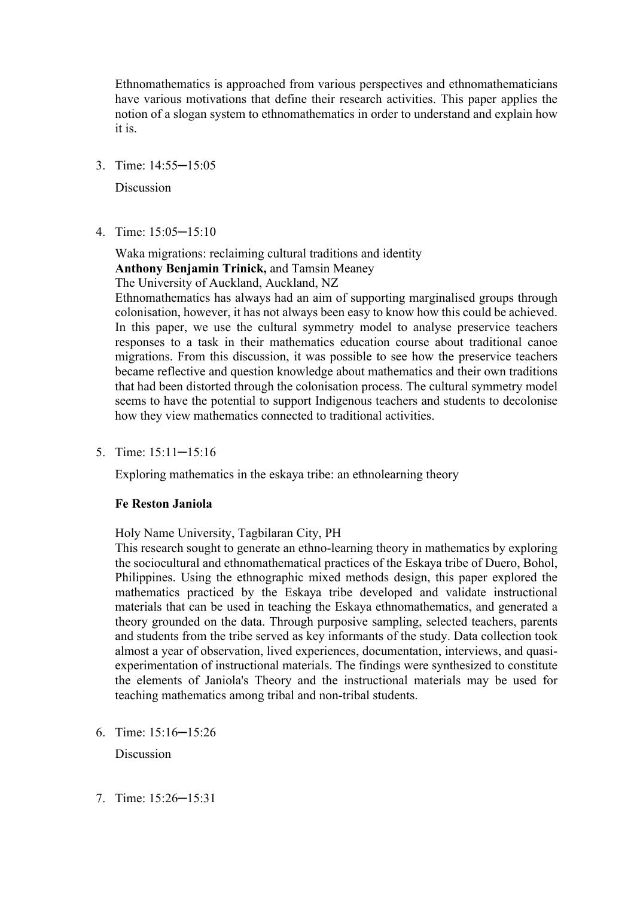Ethnomathematics is approached from various perspectives and ethnomathematicians have various motivations that define their research activities. This paper applies the notion of a slogan system to ethnomathematics in order to understand and explain how it is.

3. Time: 14:55─15:05

Discussion

4. Time: 15:05─15:10

Waka migrations: reclaiming cultural traditions and identity **Anthony Benjamin Trinick,** and Tamsin Meaney

The University of Auckland, Auckland, NZ

Ethnomathematics has always had an aim of supporting marginalised groups through colonisation, however, it has not always been easy to know how this could be achieved. In this paper, we use the cultural symmetry model to analyse preservice teachers responses to a task in their mathematics education course about traditional canoe migrations. From this discussion, it was possible to see how the preservice teachers became reflective and question knowledge about mathematics and their own traditions that had been distorted through the colonisation process. The cultural symmetry model seems to have the potential to support Indigenous teachers and students to decolonise how they view mathematics connected to traditional activities.

5. Time: 15:11─15:16

Exploring mathematics in the eskaya tribe: an ethnolearning theory

#### **Fe Reston Janiola**

Holy Name University, Tagbilaran City, PH

This research sought to generate an ethno-learning theory in mathematics by exploring the sociocultural and ethnomathematical practices of the Eskaya tribe of Duero, Bohol, Philippines. Using the ethnographic mixed methods design, this paper explored the mathematics practiced by the Eskaya tribe developed and validate instructional materials that can be used in teaching the Eskaya ethnomathematics, and generated a theory grounded on the data. Through purposive sampling, selected teachers, parents and students from the tribe served as key informants of the study. Data collection took almost a year of observation, lived experiences, documentation, interviews, and quasiexperimentation of instructional materials. The findings were synthesized to constitute the elements of Janiola's Theory and the instructional materials may be used for teaching mathematics among tribal and non-tribal students.

6. Time: 15:16─15:26

Discussion

7. Time: 15:26─15:31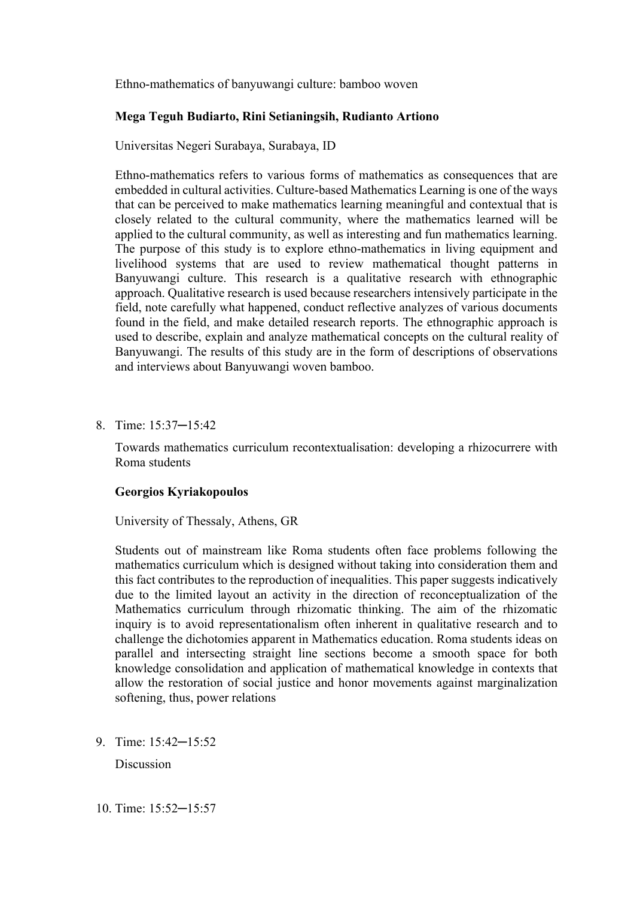Ethno-mathematics of banyuwangi culture: bamboo woven

#### **Mega Teguh Budiarto, Rini Setianingsih, Rudianto Artiono**

Universitas Negeri Surabaya, Surabaya, ID

Ethno-mathematics refers to various forms of mathematics as consequences that are embedded in cultural activities. Culture-based Mathematics Learning is one of the ways that can be perceived to make mathematics learning meaningful and contextual that is closely related to the cultural community, where the mathematics learned will be applied to the cultural community, as well as interesting and fun mathematics learning. The purpose of this study is to explore ethno-mathematics in living equipment and livelihood systems that are used to review mathematical thought patterns in Banyuwangi culture. This research is a qualitative research with ethnographic approach. Qualitative research is used because researchers intensively participate in the field, note carefully what happened, conduct reflective analyzes of various documents found in the field, and make detailed research reports. The ethnographic approach is used to describe, explain and analyze mathematical concepts on the cultural reality of Banyuwangi. The results of this study are in the form of descriptions of observations and interviews about Banyuwangi woven bamboo.

8. Time: 15:37─15:42

Towards mathematics curriculum recontextualisation: developing a rhizocurrere with Roma students

#### **Georgios Kyriakopoulos**

University of Thessaly, Athens, GR

Students out of mainstream like Roma students often face problems following the mathematics curriculum which is designed without taking into consideration them and this fact contributes to the reproduction of inequalities. This paper suggests indicatively due to the limited layout an activity in the direction of reconceptualization of the Mathematics curriculum through rhizomatic thinking. The aim of the rhizomatic inquiry is to avoid representationalism often inherent in qualitative research and to challenge the dichotomies apparent in Mathematics education. Roma students ideas on parallel and intersecting straight line sections become a smooth space for both knowledge consolidation and application of mathematical knowledge in contexts that allow the restoration of social justice and honor movements against marginalization softening, thus, power relations

9. Time: 15:42─15:52

**Discussion**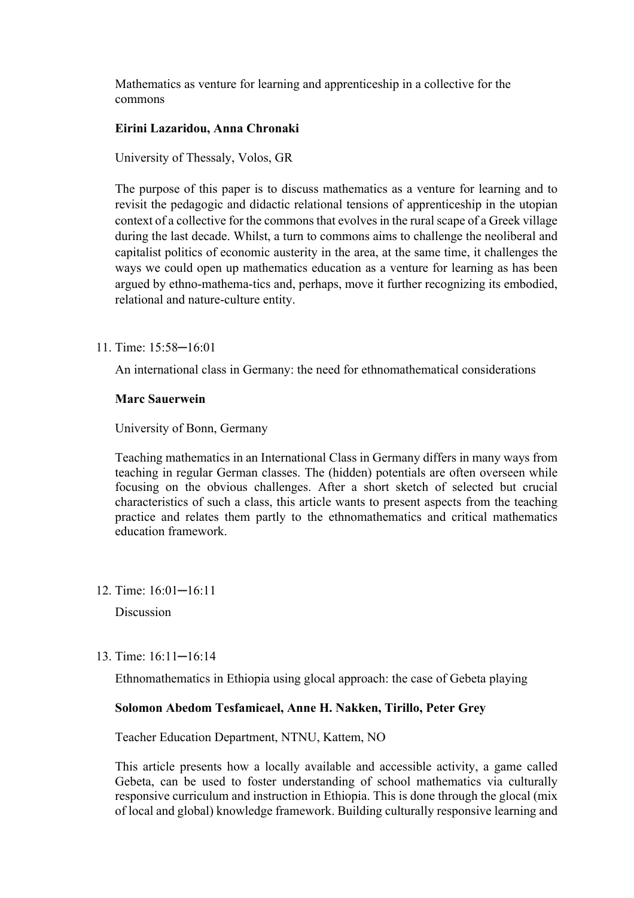Mathematics as venture for learning and apprenticeship in a collective for the commons

#### **Eirini Lazaridou, Anna Chronaki**

University of Thessaly, Volos, GR

The purpose of this paper is to discuss mathematics as a venture for learning and to revisit the pedagogic and didactic relational tensions of apprenticeship in the utopian context of a collective for the commons that evolves in the rural scape of a Greek village during the last decade. Whilst, a turn to commons aims to challenge the neoliberal and capitalist politics of economic austerity in the area, at the same time, it challenges the ways we could open up mathematics education as a venture for learning as has been argued by ethno-mathema-tics and, perhaps, move it further recognizing its embodied, relational and nature-culture entity.

11. Time: 15:58─16:01

An international class in Germany: the need for ethnomathematical considerations

### **Marc Sauerwein**

University of Bonn, Germany

Teaching mathematics in an International Class in Germany differs in many ways from teaching in regular German classes. The (hidden) potentials are often overseen while focusing on the obvious challenges. After a short sketch of selected but crucial characteristics of such a class, this article wants to present aspects from the teaching practice and relates them partly to the ethnomathematics and critical mathematics education framework.

12. Time: 16:01─16:11

Discussion

13. Time: 16:11─16:14

Ethnomathematics in Ethiopia using glocal approach: the case of Gebeta playing

# **Solomon Abedom Tesfamicael, Anne H. Nakken, Tirillo, Peter Grey**

Teacher Education Department, NTNU, Kattem, NO

This article presents how a locally available and accessible activity, a game called Gebeta, can be used to foster understanding of school mathematics via culturally responsive curriculum and instruction in Ethiopia. This is done through the glocal (mix of local and global) knowledge framework. Building culturally responsive learning and